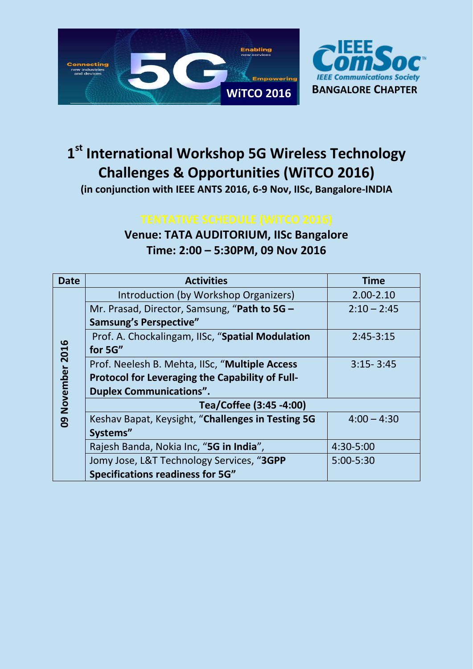



# **1 st International Workshop 5G Wireless Technology Challenges & Opportunities (WiTCO 2016)**

**(in conjunction with IEEE ANTS 2016, 6-9 Nov, IISc, Bangalore-INDIA**

## **Venue: TATA AUDITORIUM, IISc Bangalore Time: 2:00 – 5:30PM, 09 Nov 2016**

| <b>Date</b>        | <b>Activities</b>                                      | <b>Time</b>   |
|--------------------|--------------------------------------------------------|---------------|
| November 2016<br>g | Introduction (by Workshop Organizers)                  | $2.00 - 2.10$ |
|                    | Mr. Prasad, Director, Samsung, "Path to 5G -           | $2:10 - 2:45$ |
|                    | <b>Samsung's Perspective"</b>                          |               |
|                    | Prof. A. Chockalingam, IISc, "Spatial Modulation       | $2:45-3:15$   |
|                    | for 5G"                                                |               |
|                    | Prof. Neelesh B. Mehta, IISc, "Multiple Access         | $3:15 - 3:45$ |
|                    | <b>Protocol for Leveraging the Capability of Full-</b> |               |
|                    | <b>Duplex Communications".</b>                         |               |
|                    | Tea/Coffee (3:45 -4:00)                                |               |
|                    | Keshav Bapat, Keysight, "Challenges in Testing 5G      | $4:00 - 4:30$ |
|                    | Systems"                                               |               |
|                    | Rajesh Banda, Nokia Inc, "5G in India",                | 4:30-5:00     |
|                    | Jomy Jose, L&T Technology Services, "3GPP              | 5:00-5:30     |
|                    | <b>Specifications readiness for 5G"</b>                |               |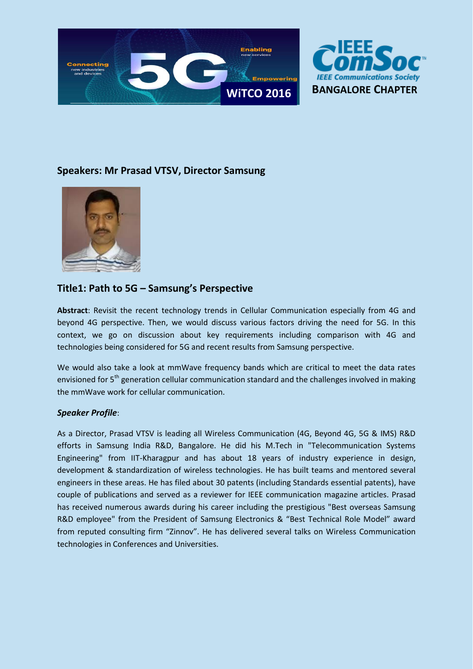



## **Speakers: Mr Prasad VTSV, Director Samsung**



## **Title1: Path to 5G – Samsung's Perspective**

**Abstract**: Revisit the recent technology trends in Cellular Communication especially from 4G and beyond 4G perspective. Then, we would discuss various factors driving the need for 5G. In this context, we go on discussion about key requirements including comparison with 4G and technologies being considered for 5G and recent results from Samsung perspective.

We would also take a look at mmWave frequency bands which are critical to meet the data rates envisioned for 5<sup>th</sup> generation cellular communication standard and the challenges involved in making the mmWave work for cellular communication.

### *Speaker Profile*:

As a Director, Prasad VTSV is leading all Wireless Communication (4G, Beyond 4G, 5G & IMS) R&D efforts in Samsung India R&D, Bangalore. He did his M.Tech in "Telecommunication Systems Engineering" from IIT-Kharagpur and has about 18 years of industry experience in design, development & standardization of wireless technologies. He has built teams and mentored several engineers in these areas. He has filed about 30 patents (including Standards essential patents), have couple of publications and served as a reviewer for IEEE communication magazine articles. Prasad has received numerous awards during his career including the prestigious "Best overseas Samsung R&D employee" from the President of Samsung Electronics & "Best Technical Role Model" award from reputed consulting firm "Zinnov". He has delivered several talks on Wireless Communication technologies in Conferences and Universities.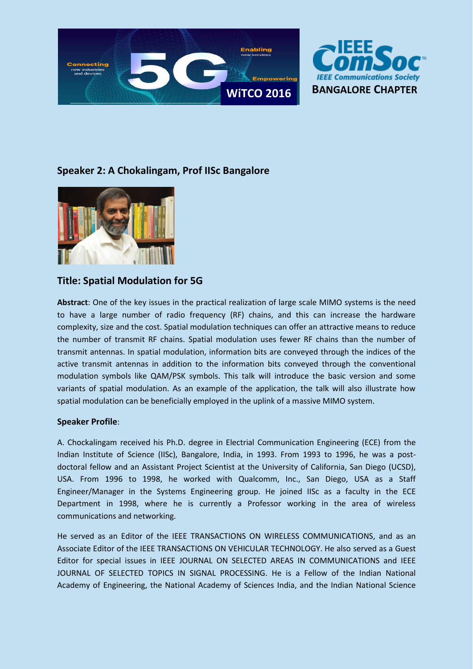



## **Speaker 2: A Chokalingam, Prof IISc Bangalore**



## **Title: Spatial Modulation for 5G**

**Abstract**: One of the key issues in the practical realization of large scale MIMO systems is the need to have a large number of radio frequency (RF) chains, and this can increase the hardware complexity, size and the cost. Spatial modulation techniques can offer an attractive means to reduce the number of transmit RF chains. Spatial modulation uses fewer RF chains than the number of transmit antennas. In spatial modulation, information bits are conveyed through the indices of the active transmit antennas in addition to the information bits conveyed through the conventional modulation symbols like QAM/PSK symbols. This talk will introduce the basic version and some variants of spatial modulation. As an example of the application, the talk will also illustrate how spatial modulation can be beneficially employed in the uplink of a massive MIMO system.

### **Speaker Profile**:

A. Chockalingam received his Ph.D. degree in Electrial Communication Engineering (ECE) from the Indian Institute of Science (IISc), Bangalore, India, in 1993. From 1993 to 1996, he was a postdoctoral fellow and an Assistant Project Scientist at the University of California, San Diego (UCSD), USA. From 1996 to 1998, he worked with Qualcomm, Inc., San Diego, USA as a Staff Engineer/Manager in the Systems Engineering group. He joined IISc as a faculty in the ECE Department in 1998, where he is currently a Professor working in the area of wireless communications and networking.

He served as an Editor of the IEEE TRANSACTIONS ON WIRELESS COMMUNICATIONS, and as an Associate Editor of the IEEE TRANSACTIONS ON VEHICULAR TECHNOLOGY. He also served as a Guest Editor for special issues in IEEE JOURNAL ON SELECTED AREAS IN COMMUNICATIONS and IEEE JOURNAL OF SELECTED TOPICS IN SIGNAL PROCESSING. He is a Fellow of the Indian National Academy of Engineering, the National Academy of Sciences India, and the Indian National Science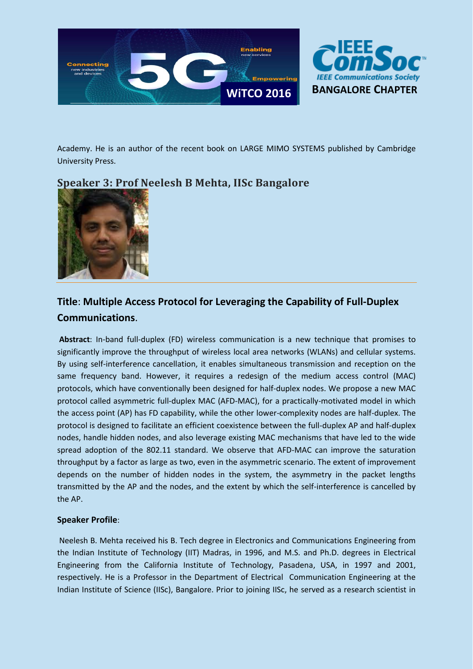



Academy. He is an author of the recent book on LARGE MIMO SYSTEMS published by Cambridge University Press.

## **Speaker 3: Prof Neelesh B Mehta, IISc Bangalore**



## **Title**: **Multiple Access Protocol for Leveraging the Capability of Full-Duplex Communications**.

**Abstract**: In-band full-duplex (FD) wireless communication is a new technique that promises to significantly improve the throughput of wireless local area networks (WLANs) and cellular systems. By using self-interference cancellation, it enables simultaneous transmission and reception on the same frequency band. However, it requires a redesign of the medium access control (MAC) protocols, which have conventionally been designed for half-duplex nodes. We propose a new MAC protocol called asymmetric full-duplex MAC (AFD-MAC), for a practically-motivated model in which the access point (AP) has FD capability, while the other lower-complexity nodes are half-duplex. The protocol is designed to facilitate an efficient coexistence between the full-duplex AP and half-duplex nodes, handle hidden nodes, and also leverage existing MAC mechanisms that have led to the wide spread adoption of the 802.11 standard. We observe that AFD-MAC can improve the saturation throughput by a factor as large as two, even in the asymmetric scenario. The extent of improvement depends on the number of hidden nodes in the system, the asymmetry in the packet lengths transmitted by the AP and the nodes, and the extent by which the self-interference is cancelled by the AP.

## **Speaker Profile**:

Neelesh B. Mehta received his B. Tech degree in Electronics and Communications Engineering from the Indian Institute of Technology (IIT) Madras, in 1996, and M.S. and Ph.D. degrees in Electrical Engineering from the California Institute of Technology, Pasadena, USA, in 1997 and 2001, respectively. He is a Professor in the Department of Electrical Communication Engineering at the Indian Institute of Science (IISc), Bangalore. Prior to joining IISc, he served as a research scientist in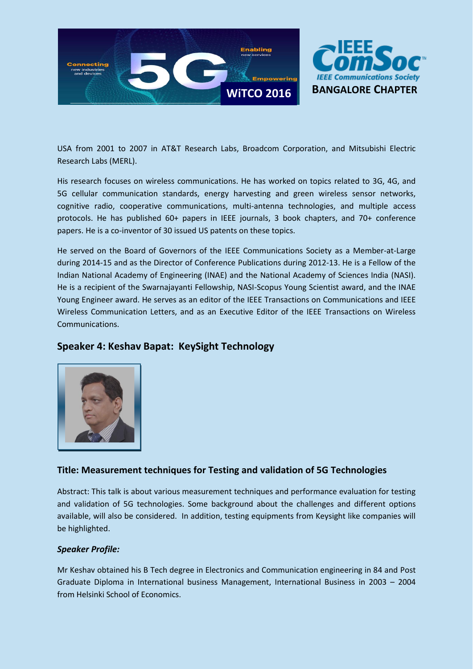



USA from 2001 to 2007 in AT&T Research Labs, Broadcom Corporation, and Mitsubishi Electric Research Labs (MERL).

His research focuses on wireless communications. He has worked on topics related to 3G, 4G, and 5G cellular communication standards, energy harvesting and green wireless sensor networks, cognitive radio, cooperative communications, multi-antenna technologies, and multiple access protocols. He has published 60+ papers in IEEE journals, 3 book chapters, and 70+ conference papers. He is a co-inventor of 30 issued US patents on these topics.

He served on the Board of Governors of the IEEE Communications Society as a Member-at-Large during 2014-15 and as the Director of Conference Publications during 2012-13. He is a Fellow of the Indian National Academy of Engineering (INAE) and the National Academy of Sciences India (NASI). He is a recipient of the Swarnajayanti Fellowship, NASI-Scopus Young Scientist award, and the INAE Young Engineer award. He serves as an editor of the IEEE Transactions on Communications and IEEE Wireless Communication Letters, and as an Executive Editor of the IEEE Transactions on Wireless Communications.



## **Speaker 4: Keshav Bapat: KeySight Technology**

## **Title: Measurement techniques for Testing and validation of 5G Technologies**

Abstract: This talk is about various measurement techniques and performance evaluation for testing and validation of 5G technologies. Some background about the challenges and different options available, will also be considered. In addition, testing equipments from Keysight like companies will be highlighted.

### *Speaker Profile:*

Mr Keshav obtained his B Tech degree in Electronics and Communication engineering in 84 and Post Graduate Diploma in International business Management, International Business in 2003 – 2004 from Helsinki School of Economics.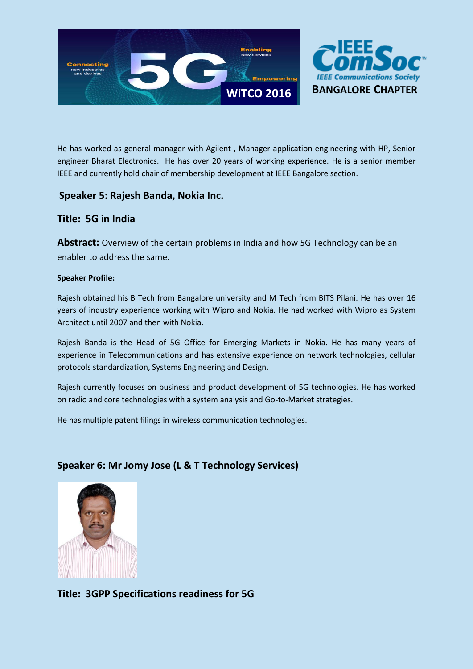



He has worked as general manager with Agilent , Manager application engineering with HP, Senior engineer Bharat Electronics. He has over 20 years of working experience. He is a senior member IEEE and currently hold chair of membership development at IEEE Bangalore section.

## **Speaker 5: Rajesh Banda, Nokia Inc.**

## **Title: 5G in India**

**Abstract:** Overview of the certain problems in India and how 5G Technology can be an enabler to address the same.

## **Speaker Profile:**

Rajesh obtained his B Tech from Bangalore university and M Tech from BITS Pilani. He has over 16 years of industry experience working with Wipro and Nokia. He had worked with Wipro as System Architect until 2007 and then with Nokia.

Rajesh Banda is the Head of 5G Office for Emerging Markets in Nokia. He has many years of experience in Telecommunications and has extensive experience on network technologies, cellular protocols standardization, Systems Engineering and Design.

Rajesh currently focuses on business and product development of 5G technologies. He has worked on radio and core technologies with a system analysis and Go-to-Market strategies.

He has multiple patent filings in wireless communication technologies.

## **Speaker 6: Mr Jomy Jose (L & T Technology Services)**



**Title: 3GPP Specifications readiness for 5G**